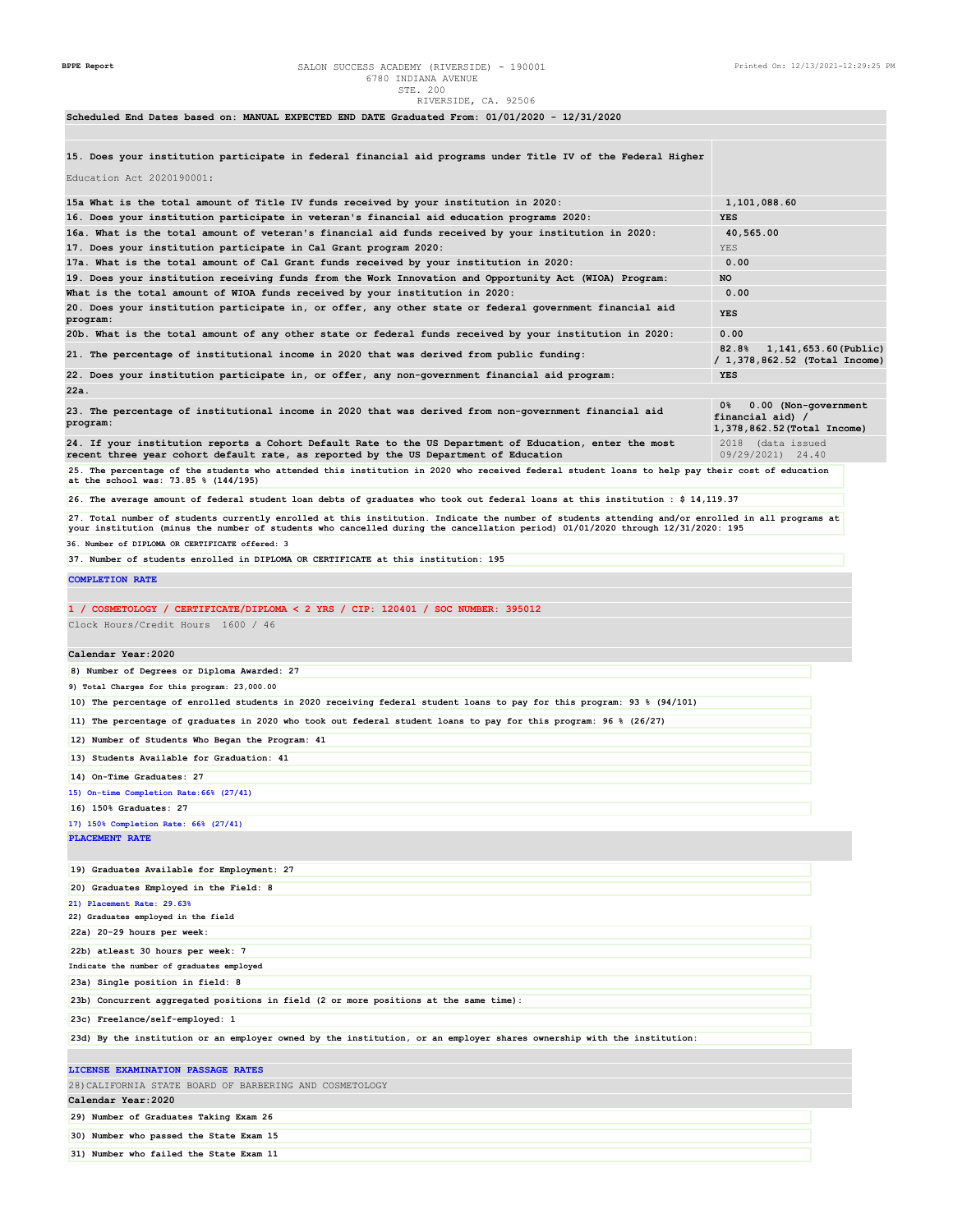**31) Number who failed the State Exam 11**

**Scheduled End Dates based on: MANUAL EXPECTED END DATE Graduated From: 01/01/2020 - 12/31/2020**

**15. Does your institution participate in federal financial aid programs under Title IV of the Federal Higher**

| Education Act 2020190001:                                                                                                                                                                                                                                                            |                                                                               |
|--------------------------------------------------------------------------------------------------------------------------------------------------------------------------------------------------------------------------------------------------------------------------------------|-------------------------------------------------------------------------------|
| 15a What is the total amount of Title IV funds received by your institution in 2020:                                                                                                                                                                                                 | 1,101,088.60                                                                  |
| 16. Does your institution participate in veteran's financial aid education programs 2020:                                                                                                                                                                                            | <b>YES</b>                                                                    |
| 16a. What is the total amount of veteran's financial aid funds received by your institution in 2020:                                                                                                                                                                                 | 40,565.00                                                                     |
| 17. Does your institution participate in Cal Grant program 2020:                                                                                                                                                                                                                     | YES                                                                           |
| 17a. What is the total amount of Cal Grant funds received by your institution in 2020:                                                                                                                                                                                               | 0.00<br><b>NO</b>                                                             |
| 19. Does your institution receiving funds from the Work Innovation and Opportunity Act (WIOA) Program:<br>What is the total amount of WIOA funds received by your institution in 2020:                                                                                               | 0.00                                                                          |
| 20. Does your institution participate in, or offer, any other state or federal government financial aid                                                                                                                                                                              | <b>YES</b>                                                                    |
| program:<br>20b. What is the total amount of any other state or federal funds received by your institution in 2020:                                                                                                                                                                  | 0.00                                                                          |
| 21. The percentage of institutional income in 2020 that was derived from public funding:                                                                                                                                                                                             | 82.8%<br>1,141,653.60(Public)                                                 |
| 22. Does your institution participate in, or offer, any non-government financial aid program:                                                                                                                                                                                        | / 1,378,862.52 (Total Income)<br><b>YES</b>                                   |
| 22a.                                                                                                                                                                                                                                                                                 |                                                                               |
| 23. The percentage of institutional income in 2020 that was derived from non-government financial aid<br>program:                                                                                                                                                                    | 0%<br>0.00 (Non-government<br>financial aid) /<br>1,378,862.52 (Total Income) |
| 24. If your institution reports a Cohort Default Rate to the US Department of Education, enter the most<br>recent three year cohort default rate, as reported by the US Department of Education                                                                                      | 2018 (data issued<br>09/29/2021) 24.40                                        |
| 25. The percentage of the students who attended this institution in 2020 who received federal student loans to help pay their cost of education<br>at the school was: 73.85 % (144/195)                                                                                              |                                                                               |
| 26. The average amount of federal student loan debts of graduates who took out federal loans at this institution : \$ 14,119.37                                                                                                                                                      |                                                                               |
| 27. Total number of students currently enrolled at this institution. Indicate the number of students attending and/or enrolled in all programs at<br>your institution (minus the number of students who cancelled during the cancellation period) 01/01/2020 through 12/31/2020: 195 |                                                                               |
| 36. Number of DIPLOMA OR CERTIFICATE offered: 3                                                                                                                                                                                                                                      |                                                                               |
| 37. Number of students enrolled in DIPLOMA OR CERTIFICATE at this institution: 195                                                                                                                                                                                                   |                                                                               |
| <b>COMPLETION RATE</b>                                                                                                                                                                                                                                                               |                                                                               |
| 1 / COSMETOLOGY / CERTIFICATE/DIPLOMA < 2 YRS / CIP: 120401 / SOC NUMBER: 395012                                                                                                                                                                                                     |                                                                               |
| Clock Hours/Credit Hours 1600 / 46                                                                                                                                                                                                                                                   |                                                                               |
| Calendar Year: 2020                                                                                                                                                                                                                                                                  |                                                                               |
| 8) Number of Degrees or Diploma Awarded: 27                                                                                                                                                                                                                                          |                                                                               |
| 9) Total Charges for this program: 23,000.00                                                                                                                                                                                                                                         |                                                                               |
| 10) The percentage of enrolled students in 2020 receiving federal student loans to pay for this program: 93 % (94/101)                                                                                                                                                               |                                                                               |
| 11) The percentage of graduates in 2020 who took out federal student loans to pay for this program: 96 % (26/27)                                                                                                                                                                     |                                                                               |
| 12) Number of Students Who Began the Program: 41                                                                                                                                                                                                                                     |                                                                               |
| 13) Students Available for Graduation: 41                                                                                                                                                                                                                                            |                                                                               |
| 14) On-Time Graduates: 27                                                                                                                                                                                                                                                            |                                                                               |
| 15) On-time Completion Rate: 66% (27/41)                                                                                                                                                                                                                                             |                                                                               |
| 16) 150% Graduates: 27<br>17) 150% Completion Rate: 66% (27/41)                                                                                                                                                                                                                      |                                                                               |
| PLACEMENT RATE                                                                                                                                                                                                                                                                       |                                                                               |
|                                                                                                                                                                                                                                                                                      |                                                                               |
| 19) Graduates Available for Employment: 27                                                                                                                                                                                                                                           |                                                                               |
| 20) Graduates Employed in the Field: 8                                                                                                                                                                                                                                               |                                                                               |
| 21) Placement Rate: 29.63%<br>22) Graduates employed in the field                                                                                                                                                                                                                    |                                                                               |
| 22a) 20-29 hours per week:                                                                                                                                                                                                                                                           |                                                                               |
| 22b) atleast 30 hours per week: 7                                                                                                                                                                                                                                                    |                                                                               |
| Indicate the number of graduates employed                                                                                                                                                                                                                                            |                                                                               |
| 23a) Single position in field: 8                                                                                                                                                                                                                                                     |                                                                               |
| 23b) Concurrent aggregated positions in field (2 or more positions at the same time):                                                                                                                                                                                                |                                                                               |
| 23c) Freelance/self-employed: 1                                                                                                                                                                                                                                                      |                                                                               |
| 23d) By the institution or an employer owned by the institution, or an employer shares ownership with the institution:                                                                                                                                                               |                                                                               |
| LICENSE EXAMINATION PASSAGE RATES                                                                                                                                                                                                                                                    |                                                                               |
| 28) CALIFORNIA STATE BOARD OF BARBERING AND COSMETOLOGY                                                                                                                                                                                                                              |                                                                               |
| Calendar Year:2020                                                                                                                                                                                                                                                                   |                                                                               |
| 29) Number of Graduates Taking Exam 26                                                                                                                                                                                                                                               |                                                                               |
| 30) Number who passed the State Exam 15                                                                                                                                                                                                                                              |                                                                               |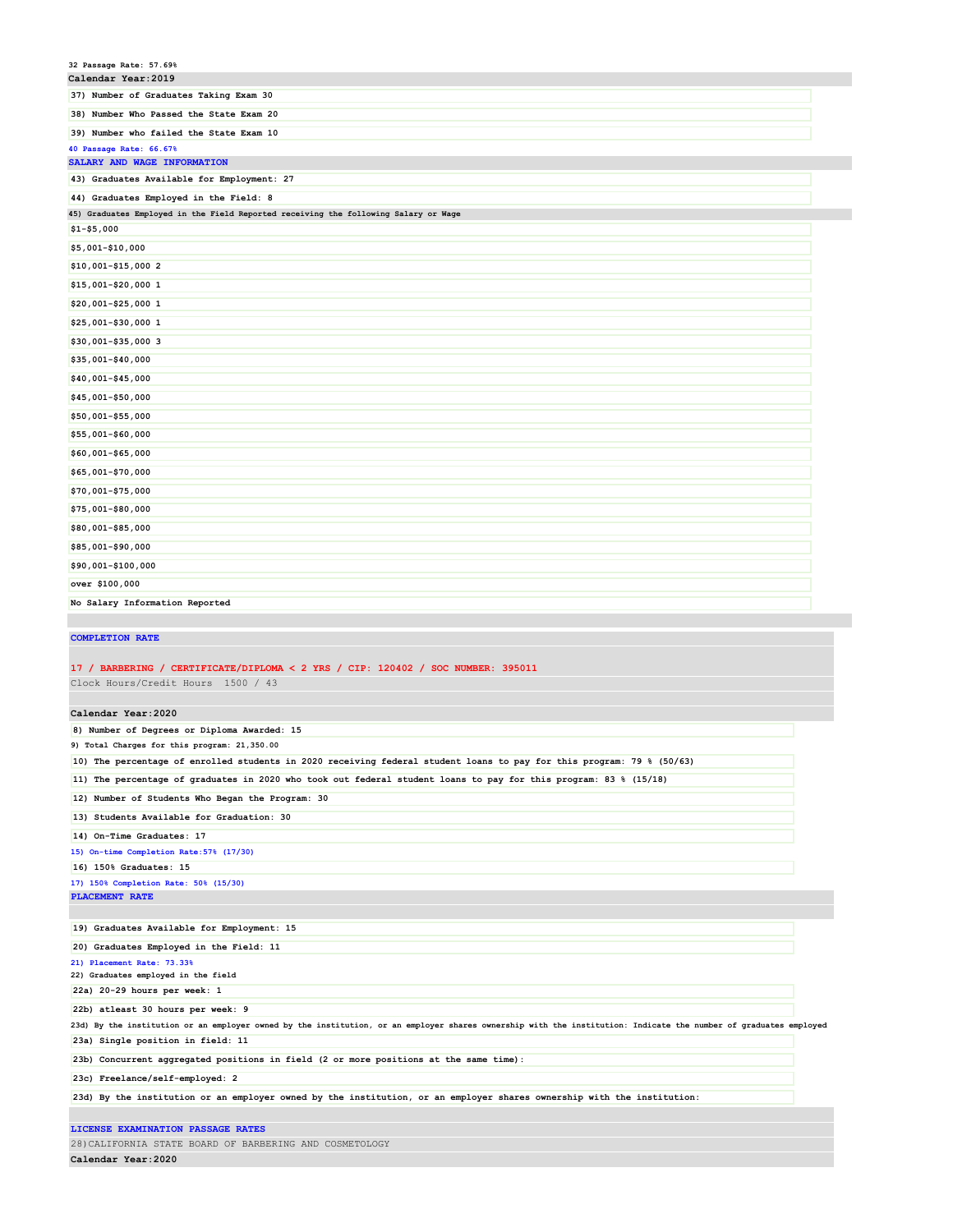| 32 Passage Rate: 57.69%                                                                                                                                                                               |  |
|-------------------------------------------------------------------------------------------------------------------------------------------------------------------------------------------------------|--|
| Calendar Year: 2019                                                                                                                                                                                   |  |
| 37) Number of Graduates Taking Exam 30                                                                                                                                                                |  |
| 38) Number Who Passed the State Exam 20                                                                                                                                                               |  |
| 39) Number who failed the State Exam 10                                                                                                                                                               |  |
| 40 Passage Rate: 66.67%                                                                                                                                                                               |  |
| SALARY AND WAGE INFORMATION                                                                                                                                                                           |  |
| 43) Graduates Available for Employment: 27                                                                                                                                                            |  |
| 44) Graduates Employed in the Field: 8                                                                                                                                                                |  |
| 45) Graduates Employed in the Field Reported receiving the following Salary or Wage                                                                                                                   |  |
| $$1 - $5,000$                                                                                                                                                                                         |  |
| \$5,001-\$10,000                                                                                                                                                                                      |  |
| \$10,001-\$15,000 2                                                                                                                                                                                   |  |
| \$15,001-\$20,000 1                                                                                                                                                                                   |  |
| \$20,001-\$25,000 1                                                                                                                                                                                   |  |
| \$25,001-\$30,000 1                                                                                                                                                                                   |  |
| \$30,001-\$35,000 3                                                                                                                                                                                   |  |
| \$35,001-\$40,000                                                                                                                                                                                     |  |
| \$40,001-\$45,000                                                                                                                                                                                     |  |
| \$45,001-\$50,000                                                                                                                                                                                     |  |
|                                                                                                                                                                                                       |  |
| \$50,001-\$55,000                                                                                                                                                                                     |  |
| \$55,001-\$60,000                                                                                                                                                                                     |  |
| \$60,001-\$65,000                                                                                                                                                                                     |  |
| \$65,001-\$70,000                                                                                                                                                                                     |  |
| \$70,001-\$75,000                                                                                                                                                                                     |  |
| \$75,001-\$80,000                                                                                                                                                                                     |  |
| \$80,001-\$85,000                                                                                                                                                                                     |  |
| \$85,001-\$90,000                                                                                                                                                                                     |  |
| \$90,001-\$100,000                                                                                                                                                                                    |  |
|                                                                                                                                                                                                       |  |
| over \$100,000                                                                                                                                                                                        |  |
| No Salary Information Reported                                                                                                                                                                        |  |
|                                                                                                                                                                                                       |  |
| <b>COMPLETION RATE</b>                                                                                                                                                                                |  |
|                                                                                                                                                                                                       |  |
| 17 / BARBERING / CERTIFICATE/DIPLOMA < 2 YRS / CIP: 120402 / SOC NUMBER: 395011                                                                                                                       |  |
| Clock Hours/Credit Hours 1500 / 43                                                                                                                                                                    |  |
|                                                                                                                                                                                                       |  |
| Calendar Year: 2020                                                                                                                                                                                   |  |
| 8) Number of Degrees or Diploma Awarded: 15<br>9) Total Charges for this program: 21,350.00                                                                                                           |  |
| 10) The percentage of enrolled students in 2020 receiving federal student loans to pay for this program: 79 % (50/63)                                                                                 |  |
| 11) The percentage of graduates in 2020 who took out federal student loans to pay for this program: 83 % (15/18)                                                                                      |  |
|                                                                                                                                                                                                       |  |
| 12) Number of Students Who Began the Program: 30                                                                                                                                                      |  |
| 13) Students Available for Graduation: 30                                                                                                                                                             |  |
| 14) On-Time Graduates: 17<br>15) On-time Completion Rate: 57% (17/30)                                                                                                                                 |  |
| 16) 150% Graduates: 15                                                                                                                                                                                |  |
| 17) 150% Completion Rate: 50% (15/30)                                                                                                                                                                 |  |
| PLACEMENT RATE                                                                                                                                                                                        |  |
|                                                                                                                                                                                                       |  |
| 19) Graduates Available for Employment: 15                                                                                                                                                            |  |
| 20) Graduates Employed in the Field: 11                                                                                                                                                               |  |
| 21) Placement Rate: 73.33%                                                                                                                                                                            |  |
| 22) Graduates employed in the field                                                                                                                                                                   |  |
| 22a) 20-29 hours per week: 1                                                                                                                                                                          |  |
| 22b) atleast 30 hours per week: 9                                                                                                                                                                     |  |
| 23d) By the institution or an employer owned by the institution, or an employer shares ownership with the institution: Indicate the number of graduates employed<br>23a) Single position in field: 11 |  |
| 23b) Concurrent aggregated positions in field (2 or more positions at the same time):                                                                                                                 |  |
|                                                                                                                                                                                                       |  |
| 23c) Freelance/self-employed: 2<br>23d) By the institution or an employer owned by the institution, or an employer shares ownership with the institution:                                             |  |

**LICENSE EXAMINATION PASSAGE RATES** 28)CALIFORNIA STATE BOARD OF BARBERING AND COSMETOLOGY **Calendar Year:2020**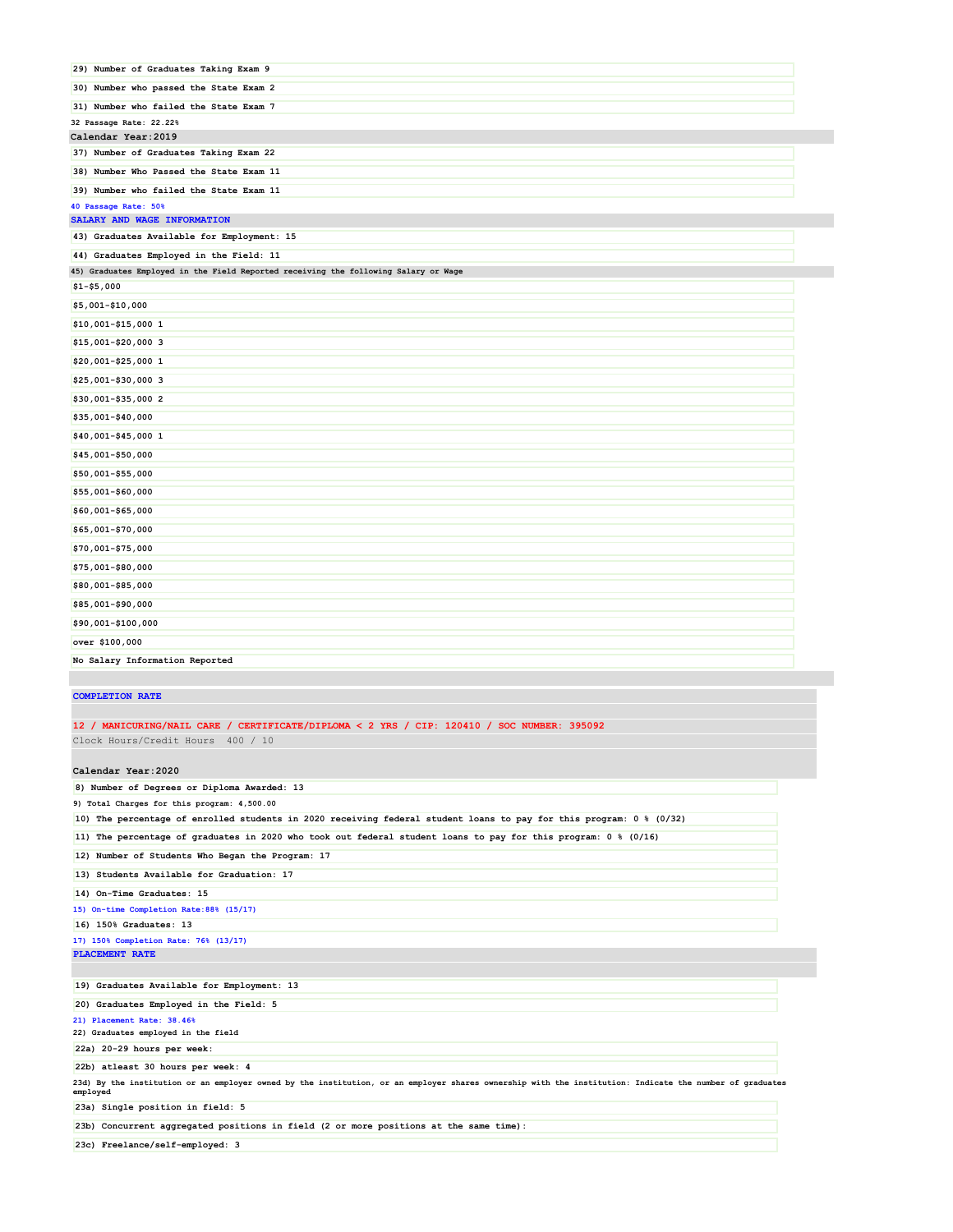| 29) Number of Graduates Taking Exam 9                                               |  |
|-------------------------------------------------------------------------------------|--|
| 30) Number who passed the State Exam 2                                              |  |
| 31) Number who failed the State Exam 7                                              |  |
| 32 Passage Rate: 22.22%                                                             |  |
| Calendar Year: 2019                                                                 |  |
| 37) Number of Graduates Taking Exam 22                                              |  |
| 38) Number Who Passed the State Exam 11                                             |  |
| 39) Number who failed the State Exam 11                                             |  |
| 40 Passage Rate: 50%                                                                |  |
| SALARY AND WAGE INFORMATION                                                         |  |
| 43) Graduates Available for Employment: 15                                          |  |
| 44) Graduates Employed in the Field: 11                                             |  |
| 45) Graduates Employed in the Field Reported receiving the following Salary or Wage |  |
| $$1 - $5,000$                                                                       |  |
| \$5,001-\$10,000                                                                    |  |
| \$10,001-\$15,000 1                                                                 |  |
| \$15,001-\$20,000 3                                                                 |  |
| \$20,001-\$25,000 1                                                                 |  |
| \$25,001-\$30,000 3                                                                 |  |
| \$30,001-\$35,000 2                                                                 |  |
| \$35,001-\$40,000                                                                   |  |
| \$40,001-\$45,000 1                                                                 |  |
| \$45,001-\$50,000                                                                   |  |
| \$50,001-\$55,000                                                                   |  |
| \$55,001-\$60,000                                                                   |  |
| \$60,001-\$65,000                                                                   |  |
| \$65,001-\$70,000                                                                   |  |
| \$70,001-\$75,000                                                                   |  |
| \$75,001-\$80,000                                                                   |  |
| \$80,001-\$85,000                                                                   |  |
| \$85,001-\$90,000                                                                   |  |
| \$90,001-\$100,000                                                                  |  |
| over \$100,000                                                                      |  |
| No Salary Information Reported                                                      |  |

### **COMPLETION RATE**

Π

# **12 / MANICURING/NAIL CARE / CERTIFICATE/DIPLOMA < 2 YRS / CIP: 120410 / SOC NUMBER: 395092**

Clock Hours/Credit Hours 400 / 10

# **Calendar Year:2020**

| 10) The percentage of enrolled students in 2020 receiving federal student loans to pay for this program: 0 % (0/32)<br>11) The percentage of graduates in 2020 who took out federal student loans to pay for this program: 0 % (0/16)<br>12) Number of Students Who Began the Program: 17<br>13) Students Available for Graduation: 17<br>14) On-Time Graduates: 15<br>16) 150% Graduates: 13<br>19) Graduates Available for Employment: 13<br>20) Graduates Employed in the Field: 5<br>22a) 20-29 hours per week:<br>22b) atleast 30 hours per week: 4<br>23d) By the institution or an employer owned by the institution, or an employer shares ownership with the institution: Indicate the number of graduates<br>employed<br>23a) Single position in field: 5<br>23b) Concurrent aggregated positions in field (2 or more positions at the same time):<br>23c) Freelance/self-employed: 3 | 8) Number of Degrees or Diploma Awarded: 13 |  |
|-------------------------------------------------------------------------------------------------------------------------------------------------------------------------------------------------------------------------------------------------------------------------------------------------------------------------------------------------------------------------------------------------------------------------------------------------------------------------------------------------------------------------------------------------------------------------------------------------------------------------------------------------------------------------------------------------------------------------------------------------------------------------------------------------------------------------------------------------------------------------------------------------|---------------------------------------------|--|
|                                                                                                                                                                                                                                                                                                                                                                                                                                                                                                                                                                                                                                                                                                                                                                                                                                                                                                 | 9) Total Charges for this program: 4,500.00 |  |
|                                                                                                                                                                                                                                                                                                                                                                                                                                                                                                                                                                                                                                                                                                                                                                                                                                                                                                 |                                             |  |
|                                                                                                                                                                                                                                                                                                                                                                                                                                                                                                                                                                                                                                                                                                                                                                                                                                                                                                 |                                             |  |
|                                                                                                                                                                                                                                                                                                                                                                                                                                                                                                                                                                                                                                                                                                                                                                                                                                                                                                 |                                             |  |
|                                                                                                                                                                                                                                                                                                                                                                                                                                                                                                                                                                                                                                                                                                                                                                                                                                                                                                 |                                             |  |
|                                                                                                                                                                                                                                                                                                                                                                                                                                                                                                                                                                                                                                                                                                                                                                                                                                                                                                 |                                             |  |
|                                                                                                                                                                                                                                                                                                                                                                                                                                                                                                                                                                                                                                                                                                                                                                                                                                                                                                 | 15) On-time Completion Rate: 88% (15/17)    |  |
|                                                                                                                                                                                                                                                                                                                                                                                                                                                                                                                                                                                                                                                                                                                                                                                                                                                                                                 |                                             |  |
|                                                                                                                                                                                                                                                                                                                                                                                                                                                                                                                                                                                                                                                                                                                                                                                                                                                                                                 | 17) 150% Completion Rate: 76% (13/17)       |  |
|                                                                                                                                                                                                                                                                                                                                                                                                                                                                                                                                                                                                                                                                                                                                                                                                                                                                                                 | <b>PLACEMENT RATE</b>                       |  |
|                                                                                                                                                                                                                                                                                                                                                                                                                                                                                                                                                                                                                                                                                                                                                                                                                                                                                                 |                                             |  |
|                                                                                                                                                                                                                                                                                                                                                                                                                                                                                                                                                                                                                                                                                                                                                                                                                                                                                                 |                                             |  |
|                                                                                                                                                                                                                                                                                                                                                                                                                                                                                                                                                                                                                                                                                                                                                                                                                                                                                                 |                                             |  |
|                                                                                                                                                                                                                                                                                                                                                                                                                                                                                                                                                                                                                                                                                                                                                                                                                                                                                                 | 21) Placement Rate: 38.46%                  |  |
|                                                                                                                                                                                                                                                                                                                                                                                                                                                                                                                                                                                                                                                                                                                                                                                                                                                                                                 | 22) Graduates employed in the field         |  |
|                                                                                                                                                                                                                                                                                                                                                                                                                                                                                                                                                                                                                                                                                                                                                                                                                                                                                                 |                                             |  |
|                                                                                                                                                                                                                                                                                                                                                                                                                                                                                                                                                                                                                                                                                                                                                                                                                                                                                                 |                                             |  |
|                                                                                                                                                                                                                                                                                                                                                                                                                                                                                                                                                                                                                                                                                                                                                                                                                                                                                                 |                                             |  |
|                                                                                                                                                                                                                                                                                                                                                                                                                                                                                                                                                                                                                                                                                                                                                                                                                                                                                                 |                                             |  |
|                                                                                                                                                                                                                                                                                                                                                                                                                                                                                                                                                                                                                                                                                                                                                                                                                                                                                                 |                                             |  |
|                                                                                                                                                                                                                                                                                                                                                                                                                                                                                                                                                                                                                                                                                                                                                                                                                                                                                                 |                                             |  |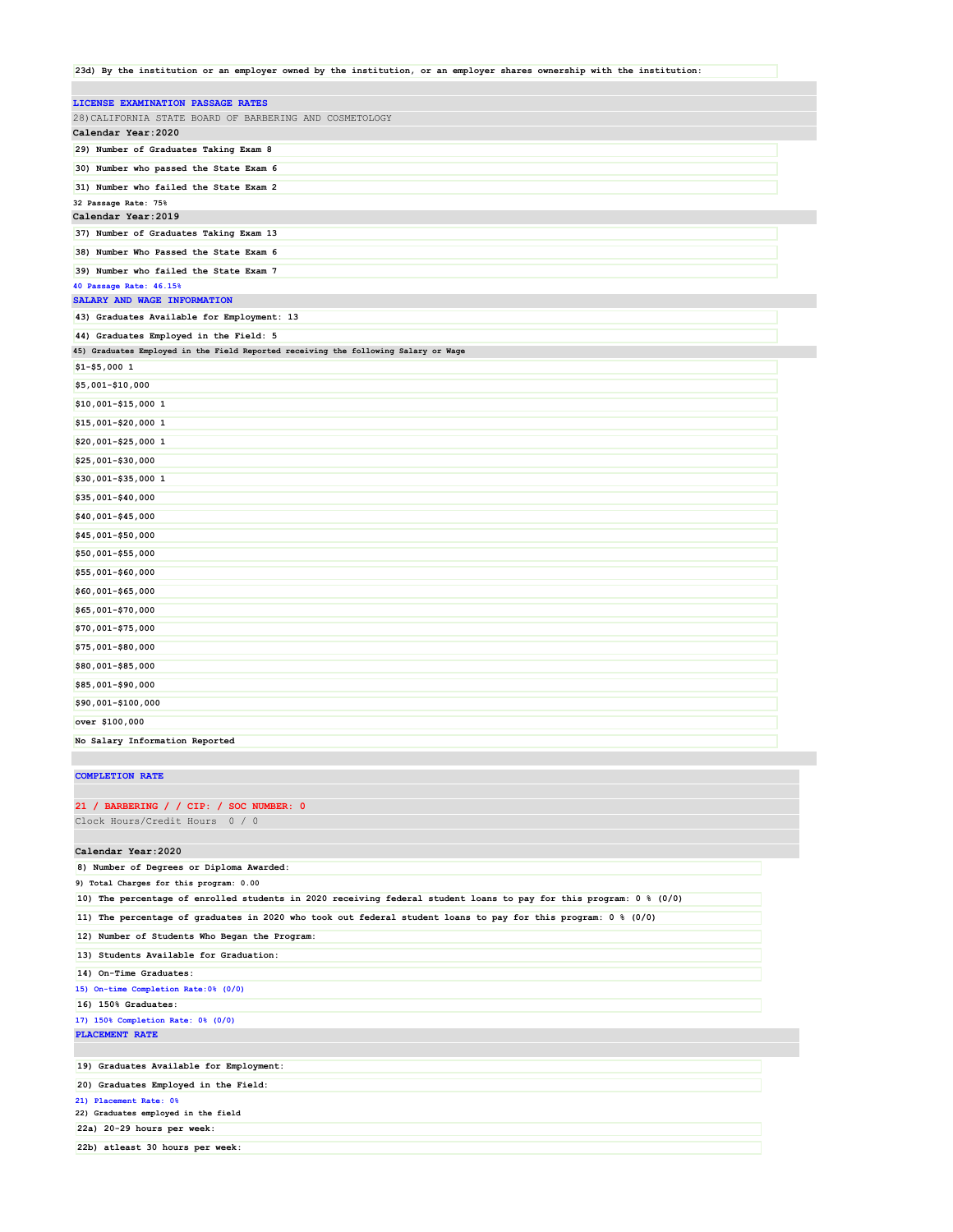**23d) By the institution or an employer owned by the institution, or an employer shares ownership with the institution:**

| LICENSE EXAMINATION PASSAGE RATES                                                   |  |
|-------------------------------------------------------------------------------------|--|
| 28) CALIFORNIA STATE BOARD OF BARBERING AND COSMETOLOGY                             |  |
| Calendar Year: 2020                                                                 |  |
| 29) Number of Graduates Taking Exam 8                                               |  |
| 30) Number who passed the State Exam 6                                              |  |
| 31) Number who failed the State Exam 2                                              |  |
| 32 Passage Rate: 75%                                                                |  |
| Calendar Year: 2019                                                                 |  |
| 37) Number of Graduates Taking Exam 13                                              |  |
| 38) Number Who Passed the State Exam 6                                              |  |
| 39) Number who failed the State Exam 7                                              |  |
| 40 Passage Rate: 46.15%                                                             |  |
| SALARY AND WAGE INFORMATION                                                         |  |
| 43) Graduates Available for Employment: 13                                          |  |
| 44) Graduates Employed in the Field: 5                                              |  |
| 45) Graduates Employed in the Field Reported receiving the following Salary or Wage |  |
| $$1 - $5,0001$                                                                      |  |
| \$5,001-\$10,000                                                                    |  |
| \$10,001-\$15,000 1                                                                 |  |
| \$15,001-\$20,000 1                                                                 |  |
| \$20,001-\$25,000 1                                                                 |  |
| \$25,001-\$30,000                                                                   |  |
| \$30,001-\$35,000 1                                                                 |  |
| \$35,001-\$40,000                                                                   |  |
| \$40,001-\$45,000                                                                   |  |
| \$45,001-\$50,000                                                                   |  |
| \$50,001-\$55,000                                                                   |  |
| \$55,001-\$60,000                                                                   |  |
| \$60,001-\$65,000                                                                   |  |
| \$65,001-\$70,000                                                                   |  |
| \$70,001-\$75,000                                                                   |  |
| \$75,001-\$80,000                                                                   |  |
| \$80,001-\$85,000                                                                   |  |
| \$85,001-\$90,000                                                                   |  |
| \$90,001-\$100,000                                                                  |  |
| over \$100,000                                                                      |  |
| No Salary Information Reported                                                      |  |

#### **COMPLETION RATE**

#### **21 / BARBERING / / CIP: / SOC NUMBER: 0**

Clock Hours/Credit Hours 0 / 0

### **Calendar Year:2020**

| 8) Number of Degrees or Diploma Awarded:                                                                           |
|--------------------------------------------------------------------------------------------------------------------|
| 9) Total Charges for this program: 0.00                                                                            |
| 10) The percentage of enrolled students in 2020 receiving federal student loans to pay for this program: 0 % (0/0) |
| 11) The percentage of graduates in 2020 who took out federal student loans to pay for this program: 0 % (0/0)      |
| 12) Number of Students Who Began the Program:                                                                      |
| 13) Students Available for Graduation:                                                                             |
| 14) On-Time Graduates:                                                                                             |
| 15) On-time Completion Rate: 0% (0/0)                                                                              |
| 16) 150% Graduates:                                                                                                |
| 17) 150% Completion Rate: 0% (0/0)                                                                                 |
| PLACEMENT RATE                                                                                                     |
|                                                                                                                    |
| 19) Graduates Available for Employment:                                                                            |
| 20) Graduates Employed in the Field:                                                                               |
| 21) Placement Rate: 0%                                                                                             |
| 22) Graduates employed in the field                                                                                |
| 22a) 20-29 hours per week:                                                                                         |
| 22b) atleast 30 hours per week:                                                                                    |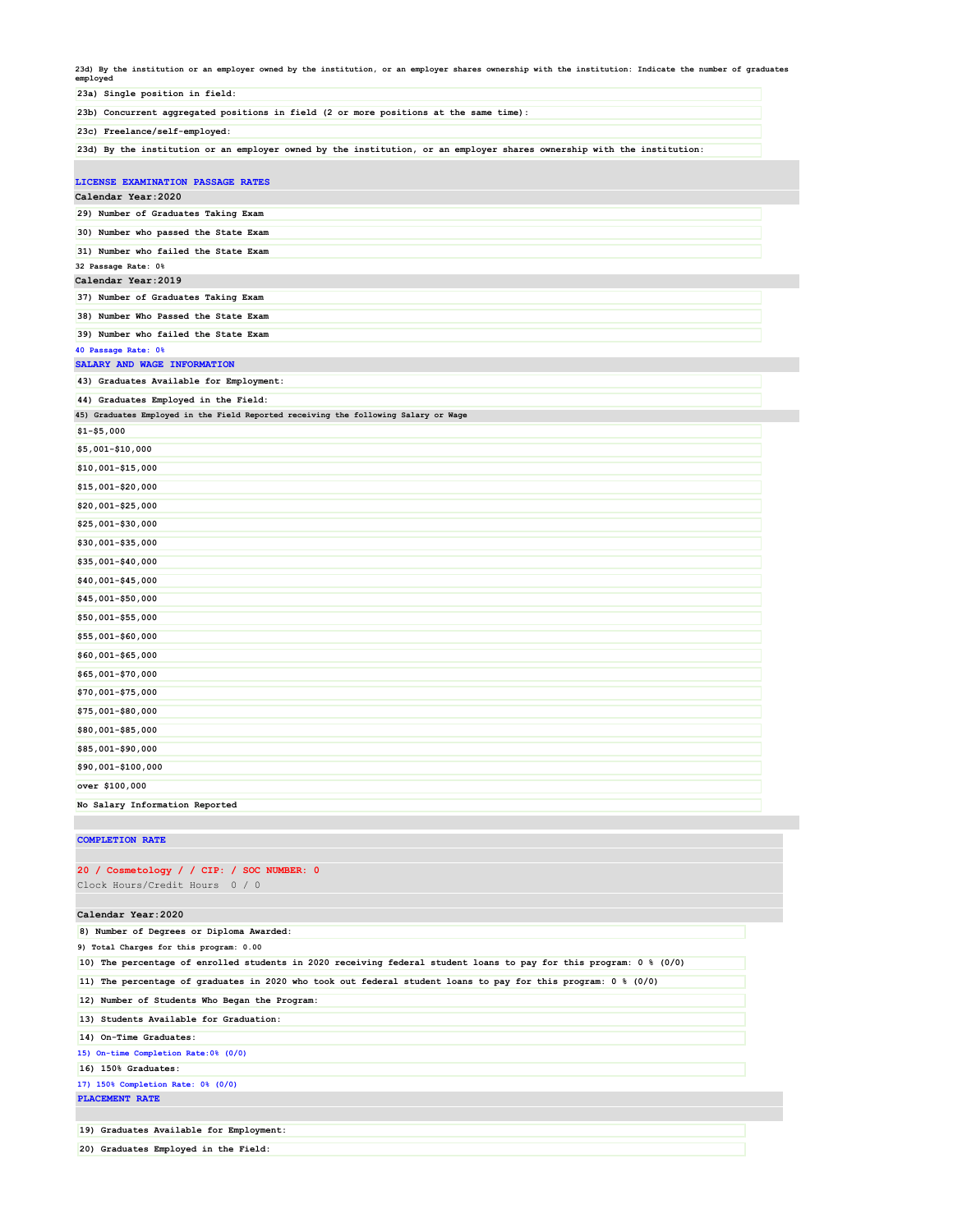**23d) By the institution or an employer owned by the institution, or an employer shares ownership with the institution: Indicate the number of graduates**

| roo, by the institution of an employer owned by the institution, of an employer shares ownership with the institution: indicate the number of graduates<br>employed |  |
|---------------------------------------------------------------------------------------------------------------------------------------------------------------------|--|
| 23a) Single position in field:                                                                                                                                      |  |
| 23b) Concurrent aggregated positions in field (2 or more positions at the same time):                                                                               |  |
| 23c) Freelance/self-employed:                                                                                                                                       |  |
| 23d) By the institution or an employer owned by the institution, or an employer shares ownership with the institution:                                              |  |
|                                                                                                                                                                     |  |
| LICENSE EXAMINATION PASSAGE RATES                                                                                                                                   |  |
| Calendar Year: 2020                                                                                                                                                 |  |
| 29) Number of Graduates Taking Exam                                                                                                                                 |  |
| 30) Number who passed the State Exam                                                                                                                                |  |
| 31) Number who failed the State Exam                                                                                                                                |  |
| 32 Passage Rate: 0%                                                                                                                                                 |  |
| Calendar Year: 2019                                                                                                                                                 |  |
| 37) Number of Graduates Taking Exam                                                                                                                                 |  |
| 38) Number Who Passed the State Exam                                                                                                                                |  |
| 39) Number who failed the State Exam                                                                                                                                |  |
| 40 Passage Rate: 0%                                                                                                                                                 |  |
| SALARY AND WAGE INFORMATION<br>43) Graduates Available for Employment:                                                                                              |  |
|                                                                                                                                                                     |  |
| 44) Graduates Employed in the Field:<br>45) Graduates Employed in the Field Reported receiving the following Salary or Wage                                         |  |
| $$1 - $5,000$                                                                                                                                                       |  |
| \$5,001-\$10,000                                                                                                                                                    |  |
| \$10,001-\$15,000                                                                                                                                                   |  |
|                                                                                                                                                                     |  |
| \$15,001-\$20,000                                                                                                                                                   |  |
| \$20,001-\$25,000                                                                                                                                                   |  |
| \$25,001-\$30,000                                                                                                                                                   |  |
| \$30,001-\$35,000                                                                                                                                                   |  |
| \$35,001-\$40,000                                                                                                                                                   |  |
| \$40,001-\$45,000                                                                                                                                                   |  |
| \$45,001-\$50,000                                                                                                                                                   |  |
| \$50,001-\$55,000                                                                                                                                                   |  |
| \$55,001-\$60,000                                                                                                                                                   |  |
| \$60,001-\$65,000                                                                                                                                                   |  |
| \$65,001-\$70,000                                                                                                                                                   |  |
| \$70,001-\$75,000                                                                                                                                                   |  |
| \$75,001-\$80,000                                                                                                                                                   |  |
| \$80,001-\$85,000                                                                                                                                                   |  |
|                                                                                                                                                                     |  |
| \$85,001-\$90,000                                                                                                                                                   |  |
| \$90,001-\$100,000                                                                                                                                                  |  |
| over \$100,000                                                                                                                                                      |  |
| No Salary Information Reported                                                                                                                                      |  |

**COMPLETION RATE**

**20) Graduates Employed in the Field:**

# **20 / Cosmetology / / CIP: / SOC NUMBER: 0** Clock Hours/Credit Hours 0 / 0 **Calendar Year:2020 8) Number of Degrees or Diploma Awarded: 9) Total Charges for this program: 0.00 10) The percentage of enrolled students in 2020 receiving federal student loans to pay for this program: 0 % (0/0) 11) The percentage of graduates in 2020 who took out federal student loans to pay for this program: 0 % (0/0) 12) Number of Students Who Began the Program: 13) Students Available for Graduation: 14) On-Time Graduates: 15) On-time Completion Rate:0% (0/0) 16) 150% Graduates: 17) 150% Completion Rate: 0% (0/0) PLACEMENT RATE 19) Graduates Available for Employment:**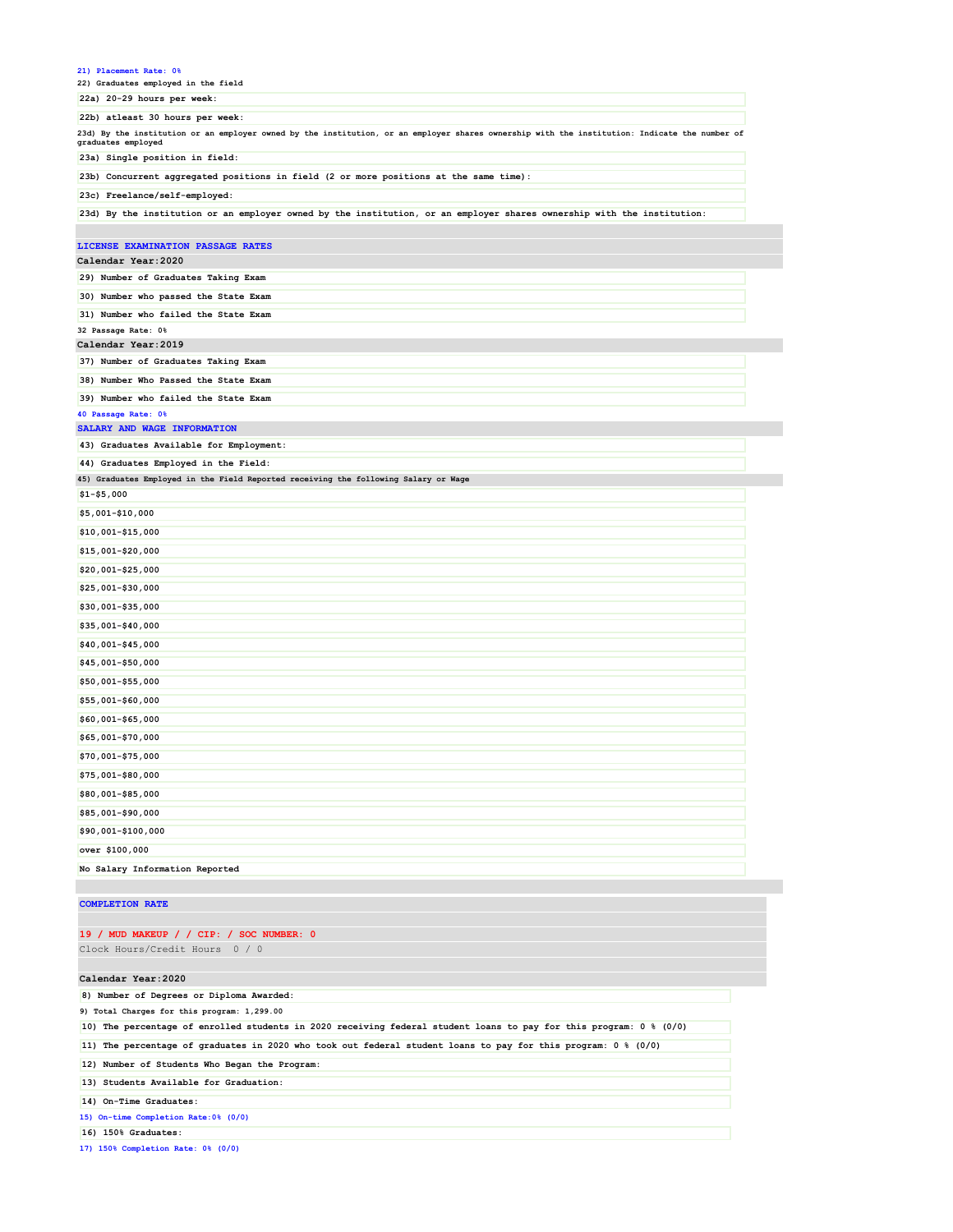| 21) Placement Rate: 0%<br>22) Graduates employed in the field                                                                                                       |
|---------------------------------------------------------------------------------------------------------------------------------------------------------------------|
| 22a) 20-29 hours per week:                                                                                                                                          |
| 22b) atleast 30 hours per week:                                                                                                                                     |
| 23d) By the institution or an employer owned by the institution, or an employer shares ownership with the institution: Indicate the number of<br>graduates employed |
| 23a) Single position in field:                                                                                                                                      |
| 23b) Concurrent aggregated positions in field (2 or more positions at the same time):                                                                               |
| 23c) Freelance/self-employed:                                                                                                                                       |
| 23d) By the institution or an employer owned by the institution, or an employer shares ownership with the institution:                                              |
| LICENSE EXAMINATION PASSAGE RATES                                                                                                                                   |
| Calendar Year: 2020                                                                                                                                                 |
| 29) Number of Graduates Taking Exam                                                                                                                                 |
| 30) Number who passed the State Exam                                                                                                                                |
| 31) Number who failed the State Exam                                                                                                                                |
| 32 Passage Rate: 0%                                                                                                                                                 |
| Calendar Year: 2019                                                                                                                                                 |
| 37) Number of Graduates Taking Exam                                                                                                                                 |
| 38) Number Who Passed the State Exam                                                                                                                                |
| 39) Number who failed the State Exam                                                                                                                                |
| 40 Passage Rate: 0%                                                                                                                                                 |
| SALARY AND WAGE INFORMATION                                                                                                                                         |
| 43) Graduates Available for Employment:                                                                                                                             |
| 44) Graduates Employed in the Field:                                                                                                                                |
| 45) Graduates Employed in the Field Reported receiving the following Salary or Wage                                                                                 |
| $$1 - $5,000$                                                                                                                                                       |
| \$5,001-\$10,000                                                                                                                                                    |
| \$10,001-\$15,000                                                                                                                                                   |
| \$15,001-\$20,000                                                                                                                                                   |
| \$20,001-\$25,000                                                                                                                                                   |
| \$25,001-\$30,000                                                                                                                                                   |
| \$30,001-\$35,000                                                                                                                                                   |
| \$35,001-\$40,000                                                                                                                                                   |
| \$40,001-\$45,000                                                                                                                                                   |
| \$45,001-\$50,000                                                                                                                                                   |
| \$50,001-\$55,000                                                                                                                                                   |
| \$55,001-\$60,000                                                                                                                                                   |
| \$60,001-\$65,000                                                                                                                                                   |
| \$65,001-\$70,000                                                                                                                                                   |
|                                                                                                                                                                     |
| \$70,001-\$75,000                                                                                                                                                   |
| \$75,001-\$80,000                                                                                                                                                   |
| \$80,001-\$85,000                                                                                                                                                   |
| \$85,001-\$90,000                                                                                                                                                   |
|                                                                                                                                                                     |
| \$90,001-\$100,000                                                                                                                                                  |
| over \$100,000                                                                                                                                                      |
| No Salary Information Reported                                                                                                                                      |
|                                                                                                                                                                     |

### **COMPLETION RATE**

## **19 / MUD MAKEUP / / CIP: / SOC NUMBER: 0**

Clock Hours/Credit Hours 0 / 0

#### **Calendar Year:2020**

**8) Number of Degrees or Diploma Awarded:**

**9) Total Charges for this program: 1,299.00**

**10) The percentage of enrolled students in 2020 receiving federal student loans to pay for this program: 0 % (0/0)**

**11) The percentage of graduates in 2020 who took out federal student loans to pay for this program: 0 % (0/0)**

**12) Number of Students Who Began the Program:**

**13) Students Available for Graduation:**

**14) On-Time Graduates:**

**15) On-time Completion Rate:0% (0/0)**

**16) 150% Graduates:**

**17) 150% Completion Rate: 0% (0/0)**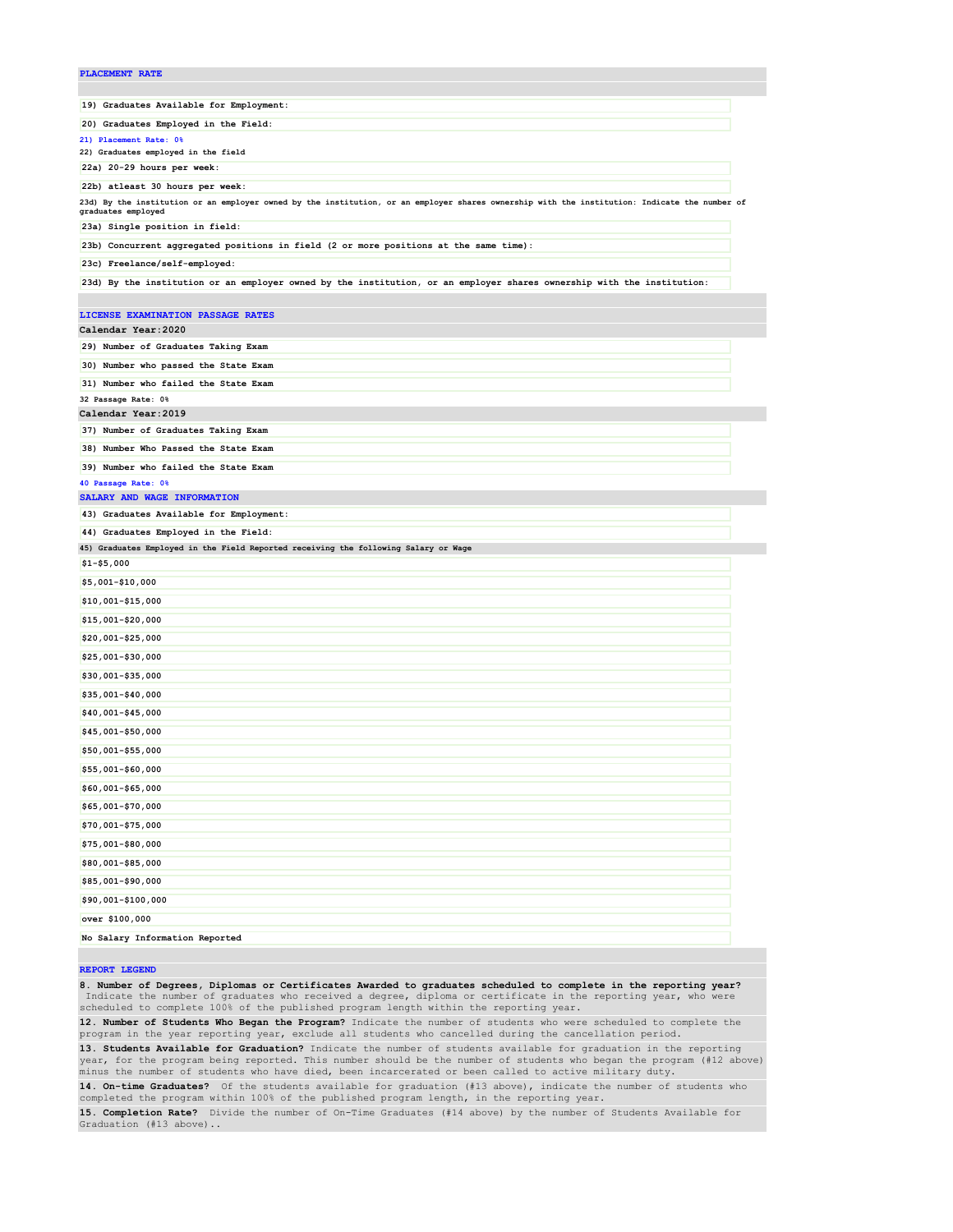# **PLACEMENT RATE 19) Graduates Available for Employment: 20) Graduates Employed in the Field: 21) Placement Rate: 0% 22) Graduates employed in the field 22a) 20-29 hours per week: 22b) atleast 30 hours per week:**

**23d) By the institution or an employer owned by the institution, or an employer shares ownership with the institution: Indicate the number of graduates employed**

**23a) Single position in field:**

**23b) Concurrent aggregated positions in field (2 or more positions at the same time):**

**23c) Freelance/self-employed:**

**23d) By the institution or an employer owned by the institution, or an employer shares ownership with the institution:**

# **LICENSE EXAMINATION PASSAGE RATES Calendar Year:2020 29) Number of Graduates Taking Exam 30) Number who passed the State Exam 31) Number who failed the State Exam 32 Passage Rate: 0% Calendar Year:2019 37) Number of Graduates Taking Exam 38) Number Who Passed the State Exam 39) Number who failed the State Exam 40 Passage Rate: 0% SALARY AND WAGE INFORMATION 43) Graduates Available for Employment: 44) Graduates Employed in the Field: 45) Graduates Employed in the Field Reported receiving the following Salary or Wage \$1-\$5,000 \$5,001-\$10,000 \$10,001-\$15,000 \$15,001-\$20,000 \$20,001-\$25,000 \$25,001-\$30,000 \$30,001-\$35,000 \$35,001-\$40,000 \$40,001-\$45,000 \$45,001-\$50,000 \$50,001-\$55,000 \$55,001-\$60,000 \$60,001-\$65,000 \$65,001-\$70,000 \$70,001-\$75,000 \$75,001-\$80,000 \$80,001-\$85,000 \$85,001-\$90,000 \$90,001-\$100,000 over \$100,000 No Salary Information Reported**

#### **REPORT LEGEND**

**8. Number of Degrees, Diplomas or Certificates Awarded to graduates scheduled to complete in the reporting year?** Indicate the number of graduates who received a degree, diploma or certificate in the reporting year, who were<br>scheduled to complete 100% of the published program length within the reporting year.

**12. Number of Students Who Began the Program?** Indicate the number of students who were scheduled to complete the program in the year reporting year, exclude all students who cancelled during the cancellation period.

**13. Students Available for Graduation?** Indicate the number of students available for graduation in the reporting year, for the program being reported. This number should be the number of students who began the program (#12 above) minus the number of students who have died, been incarcerated or been called to active military duty.

**14. On-time Graduates?** Of the students available for graduation (#13 above), indicate the number of students who completed the program within 100% of the published program length, in the reporting year.

**15. Completion Rate?** Divide the number of On-Time Graduates (#14 above) by the number of Students Available for Graduation (#13 above)..